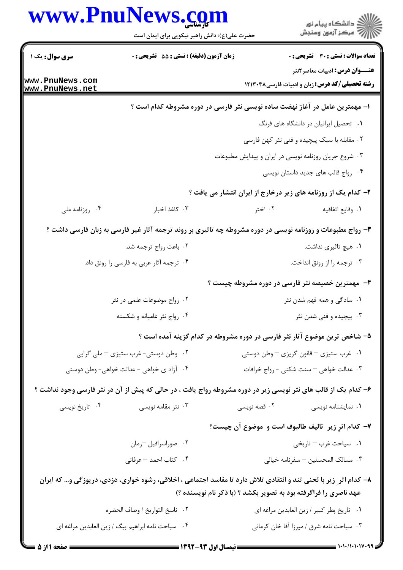|                                    | www.PnulNews.com<br>حضرت علی(ع): دانش راهبر نیکویی برای ایمان است | د<br>د انشڪاه پيام نور<br>7 مرڪز آزمون وسنڊش                                                                                                                                           |
|------------------------------------|-------------------------------------------------------------------|----------------------------------------------------------------------------------------------------------------------------------------------------------------------------------------|
| سری سوال: یک ۱                     | زمان آزمون (دقیقه) : تستی : 55 تشریحی : 0                         | <b>تعداد سوالات : تستي : 30 ٪ تشريحي : 0</b>                                                                                                                                           |
| www.PnuNews.com<br>www.PnuNews.net |                                                                   | <b>عنـــوان درس:</b> ادبیات معاصر ۲نثر<br><b>رشته تحصیلی/کد درس:</b> زبان و ادبیات فارسی۱۲۱۳۰۴۸                                                                                        |
|                                    |                                                                   | ا– مهمترین عامل در آغاز نهضت ساده نویسی نثر فارسی در دوره مشروطه کدام است ؟                                                                                                            |
|                                    |                                                                   | ۰۱ تحصیل ایرانیان در دانشگاه های فرنگ                                                                                                                                                  |
|                                    |                                                                   | ۰۲ مقابله با سبک پیچیده و فنی نثر کهن فارسی                                                                                                                                            |
|                                    |                                                                   | ۰۳ شروع جریان روزنامه نویسی در ایران و پیدایش مطبوعات                                                                                                                                  |
|                                    |                                                                   | ۰۴ رواج قالب های جدید داستان نویسی                                                                                                                                                     |
|                                    |                                                                   | ۲- کدام یک از روزنامه های زیر درخارج از ایران انتشار می یافت ؟                                                                                                                         |
| ۰۴ روزنامه ملی                     | ۰۳ كاغذ اخبار                                                     | ۰۲ اختر<br>٠١. وقايع اتفاقيه                                                                                                                                                           |
|                                    |                                                                   | ۳- رواج مطبوعات و روزنامه نویسی در دوره مشروطه چه تاثیری بر روند ترجمه آثار غیر فارسی به زبان فارسی داشت ؟                                                                             |
|                                    | ۰۲ باعث رواج ترجمه شد.                                            | ۰۱ هیچ تاثیری نداشت.                                                                                                                                                                   |
|                                    | ۰۴ ترجمه آثار عربی به فارسی را رونق داد.                          | ۰۳ ترجمه را از رونق انداخت.                                                                                                                                                            |
|                                    |                                                                   | ۴- مهمترین خصیصه نثر فارسی در دوره مشروطه چیست ؟                                                                                                                                       |
|                                    | ۰۲ رواج موضوعات علمی در نثر                                       | ۰۱ سادگی و همه فهم شدن نثر                                                                                                                                                             |
|                                    | ۰۴ رواج نثر عامیانه و شکسته                                       | ۰۳ پیچیده و فنی شدن نثر                                                                                                                                                                |
|                                    |                                                                   | ۵– شاخص ترین موضوع آثار نثر فارسی در دوره مشروطه در کدام گزینه آمده است ؟                                                                                                              |
|                                    | ۰۲ وطن دوستی- غرب ستیزی – ملی گرایی                               | ۰۱ غرب ستیزی – قانون گریزی – وطن دوستی                                                                                                                                                 |
|                                    | ۰۴ آزاد ی خواهی - عدالت خواهی- وطن دوستی                          | ۰۳ عدالت خواهی – سنت شکنی - رواج خرافات                                                                                                                                                |
|                                    |                                                                   | ۶– کدام یک از قالب های نثر نویسی زیر در دوره مشروطه رواج یافت ، در حالی که پیش از آن در نثر فارسی وجود نداشت ؟                                                                         |
| ۰۴ تاریخ نویسی                     | ۰۳ نثر مقامه نویسی                                                | ۰۱ نمایشنامه نویسی<br>۰۲ قصه نویسی                                                                                                                                                     |
|                                    |                                                                   | ٧- كدام اثرِ زير ِ تاليف طالبوف است و ِ موضوع آن چيست؟                                                                                                                                 |
|                                    | ۰۲ صوراسرافیل -رمان                                               | ۰۱ سیاحت غرب – تاریخی                                                                                                                                                                  |
|                                    | ۰۴ كتاب احمد – عرفاني                                             | ۰۳ مسالک المحسنین <sup>—</sup> سفرنامه خیال <sub>ی</sub>                                                                                                                               |
|                                    |                                                                   | ۸– کدام اثر ِ زیر با لحنی تند و انتقادی تلاش دارد تا مفاسد اجتماعی ، اخلاقی، رشوه خواری، دزدی، دریوزگی و… که ایران<br>عهد ناصری را فراگرفته بود به تصویر بکشد ؟ (با ذکر نام نویسنده ؟) |
|                                    | ٠٢ ناسخ التواريخ / وصاف الحضره                                    | ٠١ تاريخ پطر كبير / زين العابدين مراغه اي                                                                                                                                              |
|                                    | ۰۴ سیاحت نامه ابراهیم بیگ / زین العابدین مراغه ای                 | ۰۳ سیاحت نامه شرق / میرزا آقا خان کرمانی                                                                                                                                               |
|                                    |                                                                   |                                                                                                                                                                                        |

 $= 1.1 - 11.1 - 11.99$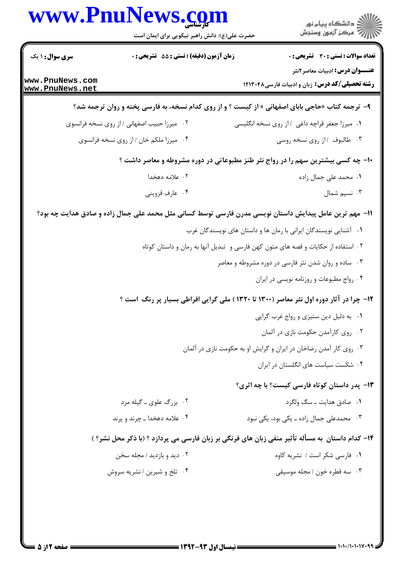|                                     | www.PnuNews.com<br>حضرت علی(ع): دانش راهبر نیکویی برای ایمان است |                                                                                                         |
|-------------------------------------|------------------------------------------------------------------|---------------------------------------------------------------------------------------------------------|
| <b>سری سوال :</b> ۱ یک              | زمان آزمون (دقیقه) : تستی : 55 آتشریحی : 0                       | تعداد سوالات : تستي : 30 - تشريحي : 0                                                                   |
| www.PnuNews.com<br> www.PnuNews.net |                                                                  | <b>عنـــوان درس:</b> ادبیات معاصر ۲نثر<br><b>رشته تحصیلی/کد درس:</b> زبان و ادبیات فارسی۱۲۱۳۰۴۸         |
|                                     |                                                                  | ۹- ترجمه کتاب «حاجی بابای اصفهانی » از کیست ؟ و از روی کدام نسخه، به فارسی پخته و روان ترجمه شد؟        |
|                                     | ۰۲ میرزا حبیب اصفهانی / از روی نسخه فرانسوی                      | ٠١ ميرزا جعفر قراچه داغي ١١ز روى نسخه انگليسي                                                           |
|                                     | ۰۴ میرزا ملکم خان / از روی نسخه فرانسوی                          | ۰۳ طالبوف /از روی نسخه روسی                                                                             |
|                                     |                                                                  | +۱- چه کسی بیشترین سهم را در رواج نثر طنز مطبوعاتی در دوره مشروطه و معاصر داشت ؟                        |
|                                     | ۲. علامه دهخدا                                                   | ۰۱ محمد علی جمال زاده                                                                                   |
|                                     | ۰۴ عارف قزويني                                                   | ۰۳ نسیم شمال                                                                                            |
|                                     |                                                                  | 11– مهم ترین عامل پیدایش داستان نویسی مدرن فارسی توسط کسانی مثل محمد علی جمال زاده و صادق هدایت چه بود؟ |
|                                     |                                                                  | ۰۱ آشنایی نویسندگان ایرانی با رمان ها و داستان های نویسندگان غرب                                        |
|                                     |                                                                  | ۰۲ استفاده از حکایات و قصه های متون کهن فارسی و  تبدیل آنها به رمان و داستان کوتاه                      |
|                                     |                                                                  | ۰۳ ساده و روان شدن نثر فارسی در دوره مشروطه و معاصر                                                     |
|                                     |                                                                  | ۰۴ رواج مطبوعات و روزنامه نویسی در ایران                                                                |
|                                     |                                                                  | ۱۲- چرا در آثار دوره اول نثر معاصر (۱۳۰۰ تا ۱۳۲۰) ملی گرایی افراطی بسیار پر رنگ  است ؟                  |
|                                     |                                                                  | ۰۱ به دلیل دین ستیزی و رواج غرب گرایی                                                                   |
|                                     |                                                                  | ۰۲ روی کارآمدن حکومت نازی در آلمان                                                                      |
|                                     |                                                                  | ۰۳ روی کار آمدن رضاخان در ایران و گرایش او به حکومت نازی در آلمان                                       |
|                                     |                                                                  | ۰۴ شکست سیاست های انگلستان در ایران                                                                     |
|                                     |                                                                  | <b>۱۳</b> - يدر داستان كوتاه فارسي كيست؟ با چه اثري؟                                                    |
|                                     | ۰۲ بزرگ علوی ـ گیله مرد                                          | ۰۱ صادق هدایت ـ سگ ولگرد                                                                                |
|                                     | ۰۴ علامه دهخدا ـ چرند و پرند                                     | ۰۳ محمدعلی جمال زاده ـ یکی بود، یکی نبود                                                                |
|                                     |                                                                  | ۱۴- کدام داستان ًبه مسأله تأثیر منفی زبان های فرنگی بر زبان فارسی می پردازد ؟ (با ذکر محل نشر؟ )        |
|                                     | ۰۲ دید و بازدید / مجله سخن                                       | ۰۱ فارسی شکر است / نشریه کاوه                                                                           |
|                                     | ۰۴ تلخ و شیرین / نشریه سروش                                      | ۰۳ سه قطره خون / مجله موسیقی                                                                            |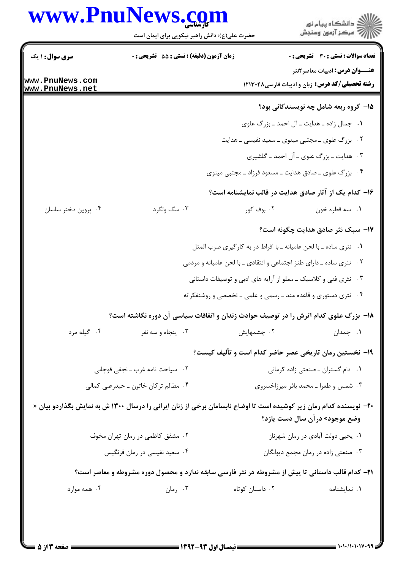## www.PnuNews.com

|                                    | www.PnuNews.com<br>حضرت علی(ع): دانش راهبر نیکویی برای ایمان است                                                          |                                                                        | ڪ دانشڪاه پيا <sub>م</sub> نور<br>∕7 مرڪز آزمون وسنڊش                                    |
|------------------------------------|---------------------------------------------------------------------------------------------------------------------------|------------------------------------------------------------------------|------------------------------------------------------------------------------------------|
| <b>سری سوال : ۱ یک</b>             | <b>زمان آزمون (دقیقه) : تستی : 55 تشریحی : 0</b>                                                                          |                                                                        | تعداد سوالات : تستى : 30 ٪ تشريحي : 0                                                    |
| www.PnuNews.com<br>www.PnuNews.net |                                                                                                                           |                                                                        | <b>عنـــوان درس:</b> ادبیات معاصر ۲نثر<br>رشته تحصیلی/کد درس: زبان و ادبیات فارسی۱۲۱۳۰۴۸ |
|                                    |                                                                                                                           |                                                                        | ۱۵– گروه ربعه شامل چه نویسندگانی بود؟                                                    |
|                                    |                                                                                                                           |                                                                        | ۰۱ جمال زاده ـ هدایت ـ آل احمد ـ بزرگ علوی                                               |
|                                    |                                                                                                                           | ۰۲ بزرگ علوی ـ مجتبی مینوی ـ سعید نفیسی ـ هدایت                        |                                                                                          |
|                                    |                                                                                                                           |                                                                        | ۰۳ هدایت ـ بزرگ علوی ـ آل احمد ـ گلشیری                                                  |
|                                    |                                                                                                                           | ۰۴ بزرگ علوی ــ صادق هدایت ــ مسعود فرزاد ــ مجتبی مینوی               |                                                                                          |
|                                    |                                                                                                                           |                                                                        | ۱۶- کدام یک از آثار صادق هدایت در قالب نمایشنامه است؟                                    |
| ۰۴ پروین دختر ساسان                | ۰۳ سگ ولگرد                                                                                                               | ۰۲ بوف کور                                                             | ٠١ سه قطره خون                                                                           |
|                                    |                                                                                                                           |                                                                        | ۱۷– سبک نثر صادق هدایت چگونه است؟                                                        |
|                                    |                                                                                                                           | ۰۱ نثری ساده ـ با لحن عامیانه ـ با افراط در به کارگیری ضرب المثل       |                                                                                          |
|                                    |                                                                                                                           | ۲.    نثری ساده ـ دارای طنز اجتماعی و انتقادی ـ با لحن عامیانه و مردمی |                                                                                          |
|                                    |                                                                                                                           | ۰۳ نثری فنی و کلاسیک ـ مملو از آرایه های ادبی و توصیفات داستانی        |                                                                                          |
|                                    |                                                                                                                           | ۰۴ نثری دستوری و قاعده مند ـ رسمی و علمی ـ تخصصی و روشنفکرانه          |                                                                                          |
|                                    | ۱۸− بزرگ علوی کدام اثرش را در توصیف حوادث زندان و اتفاقات سیاسی آن دوره نگاشته است؟                                       |                                                                        |                                                                                          |
| ۰۴ گیله مرد                        | ۰۳ پنجاه و سه نفر                                                                                                         | ۰۲ چشمهایش                                                             | ۰۱ چمدان                                                                                 |
|                                    |                                                                                                                           |                                                                        | ۱۹- نخستین رمان تاریخی عصر حاضر کدام است و تألیف کیست؟                                   |
|                                    | ۰۲ سیاحت نامه غرب ـ نجفی قوچانی                                                                                           |                                                                        | ٠١ دام گستران ـ صنعتي زاده كرماني                                                        |
|                                    | ۰۴ مظالم ترکان خاتون ــ حیدرعلی کمالی                                                                                     |                                                                        | ۰۳ شمس و طغرا ـ محمد باقر میرزاخسروی                                                     |
|                                    | <b>-۲-</b> نویسنده کدام رمان زیر کوشیده است تا اوضاع نابسامان برخی از زنان ایرانی را درسال ۱۳۰۰ ش به نمایش بگذاردو بیان « |                                                                        | وضع موجود» درآن سال دست یازد؟                                                            |
|                                    | ۰۲ مشفق کاظمی در رمان تهران مخوف                                                                                          |                                                                        | ۰۱ يحيى دولت آبادي در رمان شهرناز                                                        |
|                                    | ۰۴ سعید نفیسی در رمان فرنگیس                                                                                              |                                                                        | ۰۳ صنعتی زاده در رمان مجمع دیوانگان                                                      |
|                                    | <b>۳۱</b> – کدام قالب داستانی تا پیش از مشروطه در نثر فارسی سابقه ندارد و محصول دوره مشروطه و معاصر است؟                  |                                                                        |                                                                                          |
| ۰۴ همه موارد                       | ۰۳ رمان                                                                                                                   | ۰۲ داستان کوتاه                                                        | ٠١ نمايشنامه                                                                             |
|                                    |                                                                                                                           |                                                                        |                                                                                          |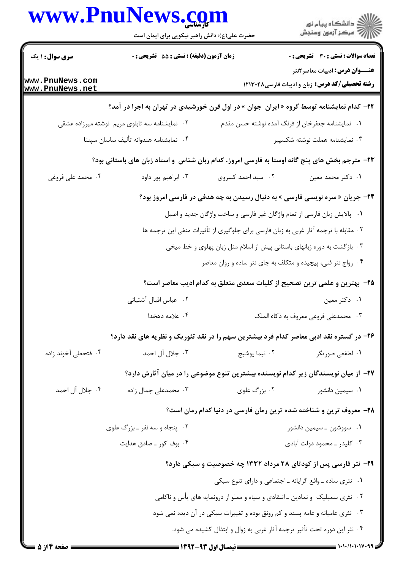| www.PnuNews.com                                                                      | حضرت علی(ع): دانش راهبر نیکویی برای ایمان است  |                                                                                                 | ڪ دانشڪاه پيا <sub>م</sub> نور<br>∕ <sup>7</sup> مرڪز آزمون وسنڊش                                |
|--------------------------------------------------------------------------------------|------------------------------------------------|-------------------------------------------------------------------------------------------------|--------------------------------------------------------------------------------------------------|
| <b>سری سوال : ۱ یک</b>                                                               | زمان آزمون (دقیقه) : تستی : 55 آتشریحی : 0     |                                                                                                 | <b>تعداد سوالات : تستی : 30 ٪ تشریحی : 0</b>                                                     |
| www.PnuNews.com<br> www.PnuNews.net                                                  |                                                |                                                                                                 | <b>عنـــوان درس:</b> ادبیات معاصر ۲نثر<br><b>رشته تحصیلی/کد درس:</b> زبان و ادبیات فارسی ۱۲۱۳۰۴۸ |
|                                                                                      |                                                | <b>۲۲</b> - کدام نمایشنامه توسط گروه « ایران جوان » در اول قرن خورشیدی در تهران به اجرا در آمد؟ |                                                                                                  |
|                                                                                      | ۰۲ نمایشنامه سه تابلوی مریم نوشته میرزاده عشقی |                                                                                                 | ٠١ نمايشنامه جعفرخان از فرنگ آمده نوشته حسن مقدم                                                 |
|                                                                                      | ۰۴ نمایشنامه هندوانه تألیف ساسان سپنتا         |                                                                                                 | ۰۳ نمایشنامه هملت نوشته شکسپیر                                                                   |
|                                                                                      |                                                | ۲۳- مترجم بخش های پنج گانه اوستا به فارسی امروز، کدام زبان شناس ًو استاد زبان های باستانی بود؟  |                                                                                                  |
| ۰۴ محمد علی فروغی                                                                    | ۰۳ ابراهیم پور داود                            | ۰۲ سید احمد کسروی                                                                               | ۰۱ دکتر محمد معین                                                                                |
|                                                                                      |                                                | <b>34-</b> جریان « سره نویسی فارسی » به دنبال رسیدن به چه هدفی در فارسی امروز بود؟              |                                                                                                  |
|                                                                                      |                                                | ۰۱ پالایش زبان فارسی از تمام واژگان غیر فارسی و ساخت واژگان جدید و اصیل                         |                                                                                                  |
| ۰۲ مقابله با ترجمه آثار غربی به زبان فارسی برای جلوگیری از تأثیرات منفی این ترجمه ها |                                                |                                                                                                 |                                                                                                  |
| ۰۳ بازگشت به دوره زبانهای باستانی پیش از اسلام مثل زبان پهلوی و خط میخی              |                                                |                                                                                                 |                                                                                                  |
|                                                                                      |                                                | ۰۴ رواج نثر فنی، پیچیده و متکلف به جای نثر ساده و روان معاصر                                    |                                                                                                  |
|                                                                                      |                                                | ۲۵- بهترین و علمی ترین تصحیح از کلیات سعدی متعلق به کدام ادیب معاصر است؟                        |                                                                                                  |
|                                                                                      | ۰۲ عباس اقبال آشتياني                          |                                                                                                 | ۰۱ دکتر معین                                                                                     |
|                                                                                      | ۰۴ علامه دهخدا                                 |                                                                                                 | ۰۳ محمدعلى فروغي معروف به ذكاء الملك                                                             |
|                                                                                      |                                                | ۲۶- در گستره نقد ادبی معاصر کدام فرد بیشترین سهم را در نقد تئوریک و نظریه های نقد دارد؟         |                                                                                                  |
| ۰۴ فتحعلی آخوند زاده                                                                 | ۰۳ جلال آل احمد                                | ۰۲ نیما یوشیج                                                                                   | ۰۱ لطفعی صور تگر                                                                                 |
|                                                                                      |                                                | ۲۷– از میان نویسندگان زیر کدام نویسنده بیشترین تنوع موضوعی را در میان آثارش دارد؟               |                                                                                                  |
| ۰۴ جلال آل احمد                                                                      | ۰۳ محمدعلی جمال زاده                           | ۰۲ بزرگ علوی                                                                                    | ۰۱ سیمین دانشور                                                                                  |
|                                                                                      |                                                | ۲۸- معروف ترین و شناخته شده ترین رمان فارسی در دنیا کدام رمان است؟                              |                                                                                                  |
|                                                                                      | ۰۲ پنجاه و سه نفر ـ بزرگ علوی                  |                                                                                                 | ۰۱ سووشون ــ سیمین دانشور                                                                        |
|                                                                                      | ۰۴ بوف کور ـ صادق هدايت                        |                                                                                                 | ۰۳ کلیدر ـ محمود دولت آبادی                                                                      |
|                                                                                      |                                                | ۲۹- نثر فارسی پس از کودتای ۲۸ مرداد ۱۳۳۲ چه خصوصیت و سبکی دارد؟                                 |                                                                                                  |
|                                                                                      |                                                | ٠١ نثري ساده ـ واقع گرايانه ـ اجتماعي و داراي تنوع سبكي                                         |                                                                                                  |
|                                                                                      |                                                | ۰۲ نثری سمبلیک و نمادین ـ انتقادی و سیاه و مملو از درونمایه های یأس و ناکامی                    |                                                                                                  |
|                                                                                      |                                                | ۰۳ نثری عامیانه و عامه پسند و کم رونق بوده و تغییرات سبکی در آن دیده نمی شود                    |                                                                                                  |
|                                                                                      |                                                | ۰۴ نثر این دوره تحت تأثیر ترجمه آثار غربی به زوال و ابتذال کشیده می شود.                        |                                                                                                  |
|                                                                                      |                                                | = 1347-43 t.1 times = =                                                                         |                                                                                                  |